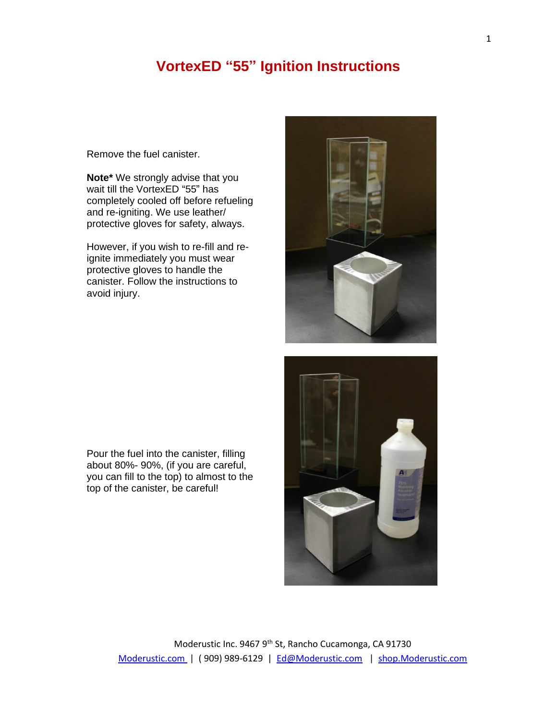## **VortexED "55" Ignition Instructions**

Remove the fuel canister.

**Note\*** We strongly advise that you wait till the VortexED "55" has completely cooled off before refueling and re-igniting. We use leather/ protective gloves for safety, always.

However, if you wish to re-fill and reignite immediately you must wear protective gloves to handle the canister. Follow the instructions to avoid injury.



Pour the fuel into the canister, filling about 80%- 90%, (if you are careful, you can fill to the top) to almost to the top of the canister, be careful!

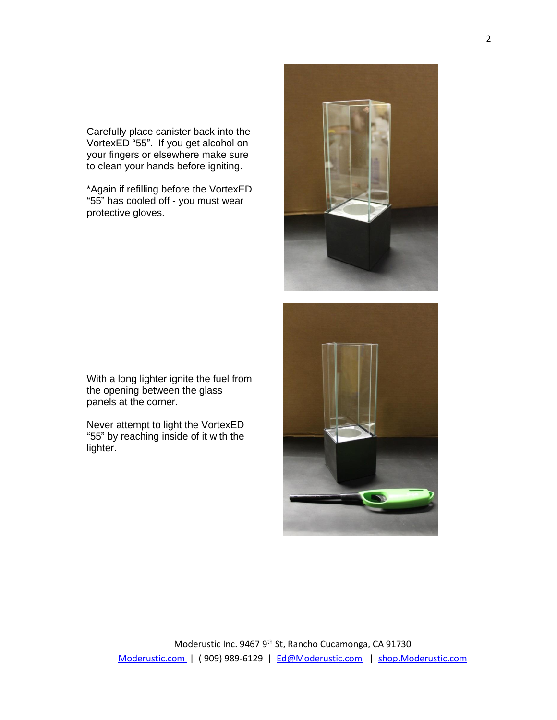Carefully place canister back into the VortexED "55". If you get alcohol on your fingers or elsewhere make sure to clean your hands before igniting.

\*Again if refilling before the VortexED "55" has cooled off - you must wear protective gloves.

With a long lighter ignite the fuel from the opening between the glass panels at the corner.

Never attempt to light the VortexED "55" by reaching inside of it with the lighter.

> Moderustic Inc. 9467 9<sup>th</sup> St, Rancho Cucamonga, CA 91730 [Moderustic.com](http://www.moderustic.com/) | ( 909) 989-6129 | [Ed@Moderustic.com](mailto:Ed@Moderustic.com) | [shop.Moderustic.com](http://www.shop.moderustic.com/)



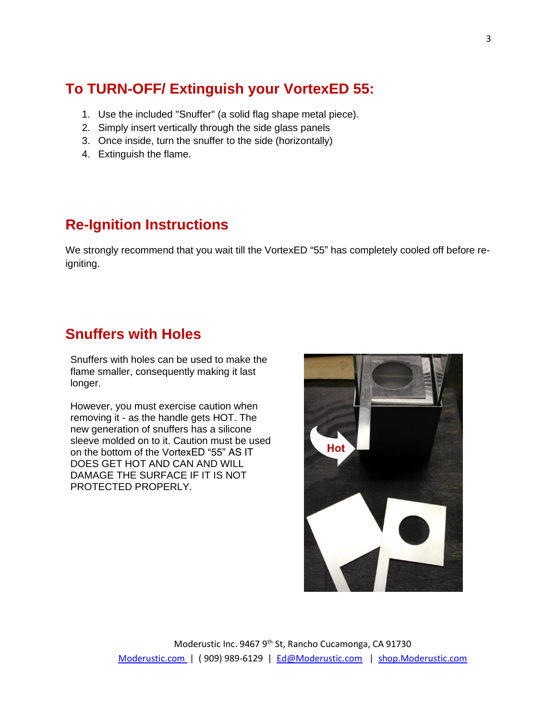# **To TURN-OFF/ Extinguish your VortexED 55:**

- 1. Use the included "Snuffer" (a solid flag shape metal piece).
- 2. Simply insert vertically through the side glass panels
- 3. Once inside, turn the snuffer to the side (horizontally)
- 4. Extinguish the flame.

## **Re-Ignition Instructions**

We strongly recommend that you wait till the VortexED "55" has completely cooled off before reigniting.

#### **Snuffers with Holes**

Snuffers with holes can be used to make the flame smaller, consequently making it last longer.

However, you must exercise caution when removing it - as the handle gets HOT. The new generation of snuffers has a silicone sleeve molded on to it. Caution must be used on the bottom of the VortexED "55" AS IT DOES GET HOT AND CAN AND WILL DAMAGE THE SURFACE IF IT IS NOT PROTECTED PROPERLY.

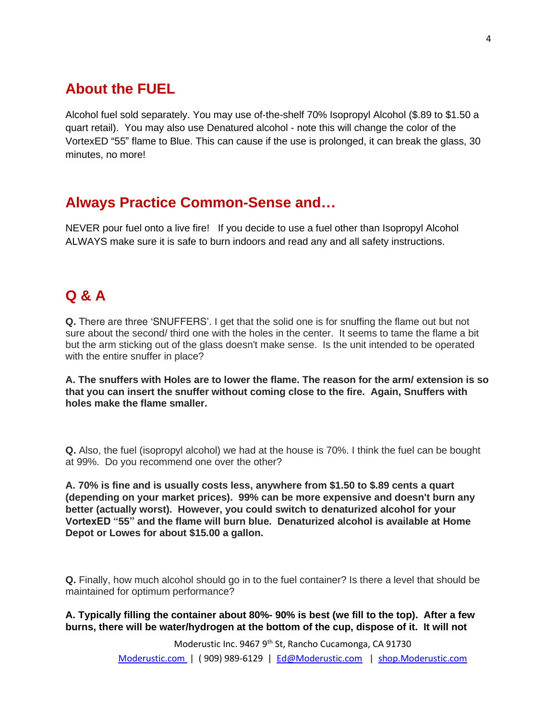## **About the FUEL**

Alcohol fuel sold separately. You may use of-the-shelf 70% Isopropyl Alcohol (\$.89 to \$1.50 a quart retail). You may also use Denatured alcohol - note this will change the color of the VortexED "55" flame to Blue. This can cause if the use is prolonged, it can break the glass, 30 minutes, no more!

#### **Always Practice Common-Sense and…**

NEVER pour fuel onto a live fire! If you decide to use a fuel other than Isopropyl Alcohol ALWAYS make sure it is safe to burn indoors and read any and all safety instructions.

## **Q & A**

**Q.** There are three 'SNUFFERS'. I get that the solid one is for snuffing the flame out but not sure about the second/ third one with the holes in the center. It seems to tame the flame a bit but the arm sticking out of the glass doesn't make sense. Is the unit intended to be operated with the entire snuffer in place?

**A. The snuffers with Holes are to lower the flame. The reason for the arm/ extension is so that you can insert the snuffer without coming close to the fire. Again, Snuffers with holes make the flame smaller.**

**Q.** Also, the fuel (isopropyl alcohol) we had at the house is 70%. I think the fuel can be bought at 99%. Do you recommend one over the other?

**A. 70% is fine and is usually costs less, anywhere from \$1.50 to \$.89 cents a quart (depending on your market prices). 99% can be more expensive and doesn't burn any better (actually worst). However, you could switch to denaturized alcohol for your VortexED "55" and the flame will burn blue. Denaturized alcohol is available at Home Depot or Lowes for about \$15.00 a gallon.**

**Q.** Finally, how much alcohol should go in to the fuel container? Is there a level that should be maintained for optimum performance?

**A. Typically filling the container about 80%- 90% is best (we fill to the top). After a few burns, there will be water/hydrogen at the bottom of the cup, dispose of it. It will not** 

> Moderustic Inc. 9467 9<sup>th</sup> St, Rancho Cucamonga, CA 91730 [Moderustic.com](http://www.moderustic.com/) | ( 909) 989-6129 | [Ed@Moderustic.com](mailto:Ed@Moderustic.com) | [shop.Moderustic.com](http://www.shop.moderustic.com/)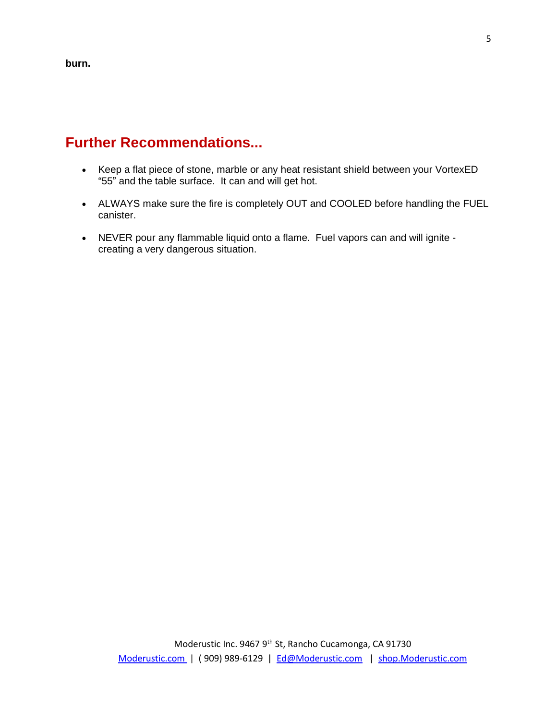**burn.**

## **Further Recommendations...**

- Keep a flat piece of stone, marble or any heat resistant shield between your VortexED "55" and the table surface. It can and will get hot.
- ALWAYS make sure the fire is completely OUT and COOLED before handling the FUEL canister.
- NEVER pour any flammable liquid onto a flame. Fuel vapors can and will ignite creating a very dangerous situation.